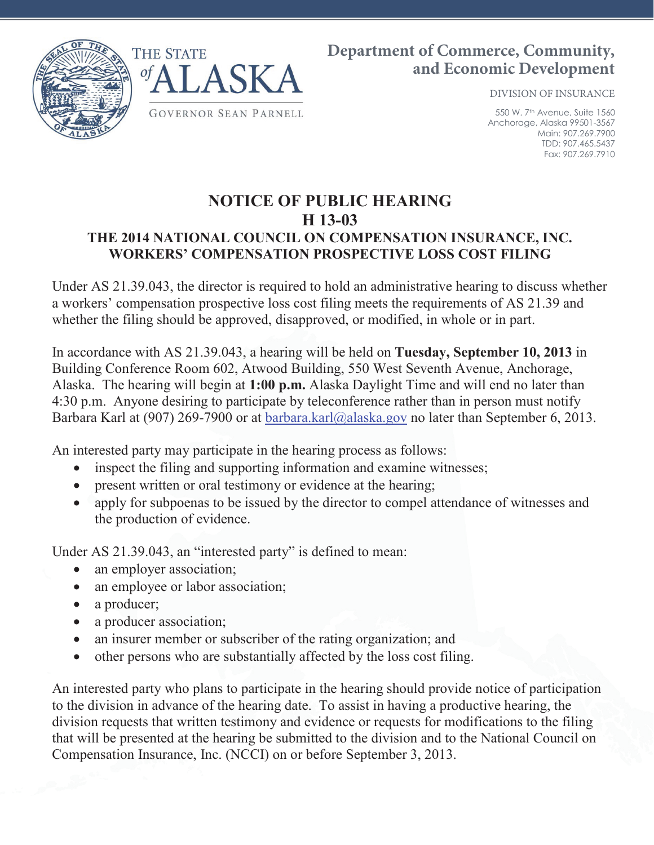

## **Department of Commerce, Community, and Economic Development**

DIVISION OF INSURANCE

550 W. 7th Avenue, Suite 1560 Anchorage, Alaska 99501-3567 Main: 907.269.7900 TDD: 907.465.5437 Fax: 907.269.7910

## **NOTICE OF PUBLIC HEARING H 13-03 THE 2014 NATIONAL COUNCIL ON COMPENSATION INSURANCE, INC. WORKERS' COMPENSATION PROSPECTIVE LOSS COST FILING**

Under AS 21.39.043, the director is required to hold an administrative hearing to discuss whether a workers' compensation prospective loss cost filing meets the requirements of AS 21.39 and whether the filing should be approved, disapproved, or modified, in whole or in part.

In accordance with AS 21.39.043, a hearing will be held on **Tuesday, September 10, 2013** in Building Conference Room 602, Atwood Building, 550 West Seventh Avenue, Anchorage, Alaska. The hearing will begin at **1:00 p.m.** Alaska Daylight Time and will end no later than 4:30 p.m. Anyone desiring to participate by teleconference rather than in person must notify Barbara Karl at (907) 269-7900 or at barbara.karl@alaska.gov no later than September 6, 2013.

An interested party may participate in the hearing process as follows:

- inspect the filing and supporting information and examine witnesses;
- present written or oral testimony or evidence at the hearing;
- apply for subpoenas to be issued by the director to compel attendance of witnesses and the production of evidence.

Under AS 21.39.043, an "interested party" is defined to mean:

- an employer association;
- an employee or labor association;
- a producer;
- a producer association;
- an insurer member or subscriber of the rating organization; and
- other persons who are substantially affected by the loss cost filing.

An interested party who plans to participate in the hearing should provide notice of participation to the division in advance of the hearing date. To assist in having a productive hearing, the division requests that written testimony and evidence or requests for modifications to the filing that will be presented at the hearing be submitted to the division and to the National Council on Compensation Insurance, Inc. (NCCI) on or before September 3, 2013.